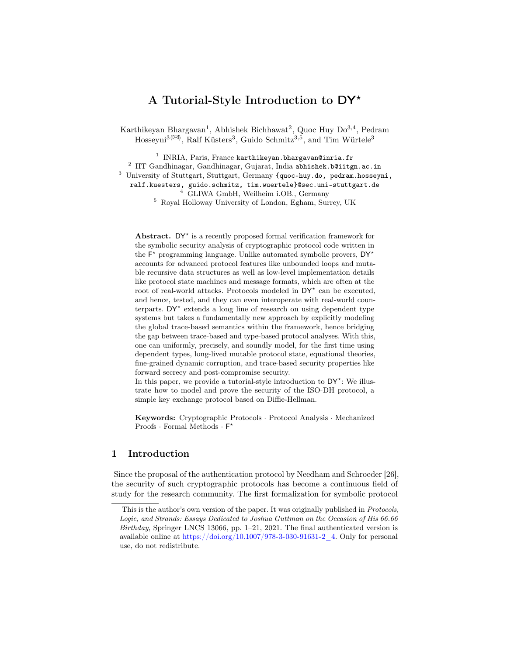# A Tutorial-Style Introduction to  $DY^*$

Karthikeyan Bhargavan<sup>1</sup>, Abhishek Bichhawat<sup>2</sup>, Quoc Huy Do<sup>3,4</sup>, Pedram  $H$ osseyni<sup>3( $\boxtimes$ )</sup>, Ralf Küsters<sup>3</sup>, Guido Schmitz<sup>3,5</sup>, and Tim Würtele<sup>3</sup>

<sup>1</sup> INRIA, Paris, France karthikeyan.bhargavan@inria.fr  $^2$  IIT Gandhinagar, Gandhinagar, Gujarat, India abhishek.b@iitgn.ac.in <sup>3</sup> University of Stuttgart, Stuttgart, Germany {quoc-huy.do, pedram.hosseyni, ralf.kuesters, guido.schmitz, tim.wuertele}@sec.uni-stuttgart.de <sup>4</sup> GLIWA GmbH, Weilheim i.OB., Germany <sup>5</sup> Royal Holloway University of London, Egham, Surrey, UK

Abstract.  $DY^*$  is a recently proposed formal verification framework for the symbolic security analysis of cryptographic protocol code written in the  $F^*$  programming language. Unlike automated symbolic provers,  $DY^*$ accounts for advanced protocol features like unbounded loops and mutable recursive data structures as well as low-level implementation details like protocol state machines and message formats, which are often at the root of real-world attacks. Protocols modeled in  $DY^*$  can be executed, and hence, tested, and they can even interoperate with real-world counterparts.  $DY^*$  extends a long line of research on using dependent type systems but takes a fundamentally new approach by explicitly modeling the global trace-based semantics within the framework, hence bridging the gap between trace-based and type-based protocol analyses. With this, one can uniformly, precisely, and soundly model, for the first time using dependent types, long-lived mutable protocol state, equational theories, fine-grained dynamic corruption, and trace-based security properties like forward secrecy and post-compromise security.

In this paper, we provide a tutorial-style introduction to DY<sup>\*</sup>: We illustrate how to model and prove the security of the ISO-DH protocol, a simple key exchange protocol based on Diffie-Hellman.

Keywords: Cryptographic Protocols · Protocol Analysis · Mechanized Proofs  $\cdot$  Formal Methods  $\cdot$   $\mathsf{F}^{\star}$ 

# <span id="page-0-0"></span>1 Introduction

Since the proposal of the authentication protocol by Needham and Schroeder [\[26\]](#page-19-0), the security of such cryptographic protocols has become a continuous field of study for the research community. The first formalization for symbolic protocol

This is the author's own version of the paper. It was originally published in *Protocols*, Logic, and Strands: Essays Dedicated to Joshua Guttman on the Occasion of His 66.66 Birthday, Springer LNCS 13066, pp. 1–21, 2021. The final authenticated version is available online at  $\frac{https://doi.org/10.1007/978-3-030-91631-2}{https://doi.org/10.1007/978-3-030-91631-2}$  4. Only for personal use, do not redistribute.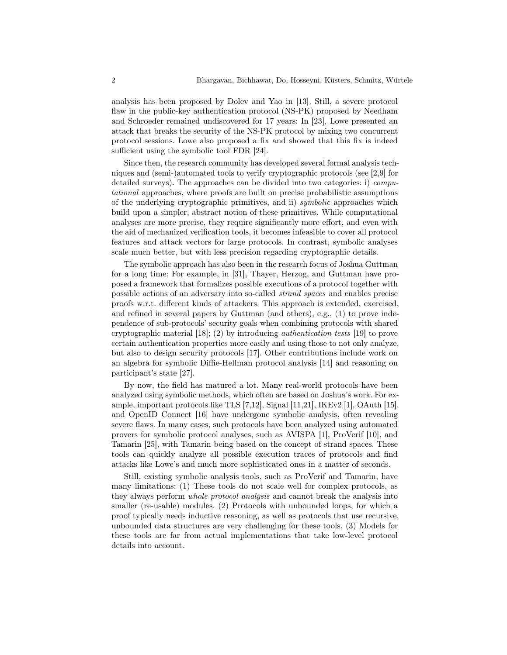analysis has been proposed by Dolev and Yao in [\[13\]](#page-19-1). Still, a severe protocol flaw in the public-key authentication protocol (NS-PK) proposed by Needham and Schroeder remained undiscovered for 17 years: In [\[23\]](#page-19-2), Lowe presented an attack that breaks the security of the NS-PK protocol by mixing two concurrent protocol sessions. Lowe also proposed a fix and showed that this fix is indeed sufficient using the symbolic tool FDR [\[24\]](#page-19-3).

Since then, the research community has developed several formal analysis techniques and (semi-)automated tools to verify cryptographic protocols (see [\[2](#page-18-0)[,9\]](#page-18-1) for detailed surveys). The approaches can be divided into two categories: i) computational approaches, where proofs are built on precise probabilistic assumptions of the underlying cryptographic primitives, and ii) symbolic approaches which build upon a simpler, abstract notion of these primitives. While computational analyses are more precise, they require significantly more effort, and even with the aid of mechanized verification tools, it becomes infeasible to cover all protocol features and attack vectors for large protocols. In contrast, symbolic analyses scale much better, but with less precision regarding cryptographic details.

The symbolic approach has also been in the research focus of Joshua Guttman for a long time: For example, in [\[31\]](#page-19-4), Thayer, Herzog, and Guttman have proposed a framework that formalizes possible executions of a protocol together with possible actions of an adversary into so-called strand spaces and enables precise proofs w.r.t. different kinds of attackers. This approach is extended, exercised, and refined in several papers by Guttman (and others), e.g., (1) to prove independence of sub-protocols' security goals when combining protocols with shared cryptographic material [\[18\]](#page-19-5); (2) by introducing authentication tests [\[19\]](#page-19-6) to prove certain authentication properties more easily and using those to not only analyze, but also to design security protocols [\[17\]](#page-19-7). Other contributions include work on an algebra for symbolic Diffie-Hellman protocol analysis [\[14\]](#page-19-8) and reasoning on participant's state [\[27\]](#page-19-9).

By now, the field has matured a lot. Many real-world protocols have been analyzed using symbolic methods, which often are based on Joshua's work. For example, important protocols like TLS [\[7,](#page-18-2)[12\]](#page-19-10), Signal [\[11](#page-19-11)[,21\]](#page-19-12), IKEv2 [\[1\]](#page-18-3), OAuth [\[15\]](#page-19-13), and OpenID Connect [\[16\]](#page-19-14) have undergone symbolic analysis, often revealing severe flaws. In many cases, such protocols have been analyzed using automated provers for symbolic protocol analyses, such as AVISPA [\[1\]](#page-18-3), ProVerif [\[10\]](#page-19-15), and Tamarin [\[25\]](#page-19-16), with Tamarin being based on the concept of strand spaces. These tools can quickly analyze all possible execution traces of protocols and find attacks like Lowe's and much more sophisticated ones in a matter of seconds.

Still, existing symbolic analysis tools, such as ProVerif and Tamarin, have many limitations: (1) These tools do not scale well for complex protocols, as they always perform whole protocol analysis and cannot break the analysis into smaller (re-usable) modules. (2) Protocols with unbounded loops, for which a proof typically needs inductive reasoning, as well as protocols that use recursive, unbounded data structures are very challenging for these tools. (3) Models for these tools are far from actual implementations that take low-level protocol details into account.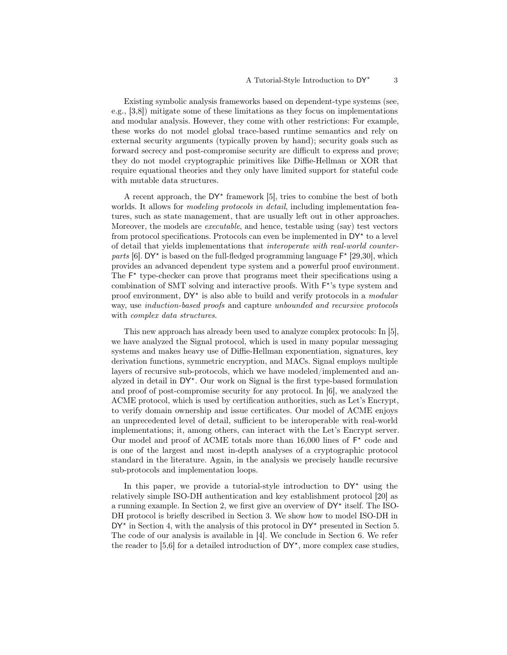Existing symbolic analysis frameworks based on dependent-type systems (see, e.g., [\[3,](#page-18-4)[8\]](#page-18-5)) mitigate some of these limitations as they focus on implementations and modular analysis. However, they come with other restrictions: For example, these works do not model global trace-based runtime semantics and rely on external security arguments (typically proven by hand); security goals such as forward secrecy and post-compromise security are difficult to express and prove; they do not model cryptographic primitives like Diffie-Hellman or XOR that require equational theories and they only have limited support for stateful code with mutable data structures.

A recent approach, the  $DY^*$  framework [\[5\]](#page-18-6), tries to combine the best of both worlds. It allows for *modeling protocols in detail*, including implementation features, such as state management, that are usually left out in other approaches. Moreover, the models are *executable*, and hence, testable using (say) test vectors from protocol specifications. Protocols can even be implemented in  $DY^*$  to a level of detail that yields implementations that interoperate with real-world counter-parts [\[6\]](#page-18-7). DY\* is based on the full-fledged programming language  $F^*$  [\[29,](#page-19-17)[30\]](#page-19-18), which provides an advanced dependent type system and a powerful proof environment. The  $F^*$  type-checker can prove that programs meet their specifications using a combination of SMT solving and interactive proofs. With  $F^*$ 's type system and proof environment,  $DY^*$  is also able to build and verify protocols in a *modular* way, use induction-based proofs and capture unbounded and recursive protocols with *complex data structures*.

This new approach has already been used to analyze complex protocols: In [\[5\]](#page-18-6), we have analyzed the Signal protocol, which is used in many popular messaging systems and makes heavy use of Diffie-Hellman exponentiation, signatures, key derivation functions, symmetric encryption, and MACs. Signal employs multiple layers of recursive sub-protocols, which we have modeled/implemented and analyzed in detail in DY\*. Our work on Signal is the first type-based formulation and proof of post-compromise security for any protocol. In [\[6\]](#page-18-7), we analyzed the ACME protocol, which is used by certification authorities, such as Let's Encrypt, to verify domain ownership and issue certificates. Our model of ACME enjoys an unprecedented level of detail, sufficient to be interoperable with real-world implementations; it, among others, can interact with the Let's Encrypt server. Our model and proof of ACME totals more than 16,000 lines of  $F^*$  code and is one of the largest and most in-depth analyses of a cryptographic protocol standard in the literature. Again, in the analysis we precisely handle recursive sub-protocols and implementation loops.

In this paper, we provide a tutorial-style introduction to  $DY^*$  using the relatively simple ISO-DH authentication and key establishment protocol [\[20\]](#page-19-19) as a running example. In Section [2,](#page-3-0) we first give an overview of  $DY^*$  itself. The ISO-DH protocol is briefly described in Section [3.](#page-9-0) We show how to model ISO-DH in  $DY^*$  in Section [4,](#page-9-1) with the analysis of this protocol in  $DY^*$  presented in Section [5.](#page-13-0) The code of our analysis is available in [\[4\]](#page-18-8). We conclude in Section [6.](#page-18-9) We refer the reader to [\[5,](#page-18-6)[6\]](#page-18-7) for a detailed introduction of  $DY^*$ , more complex case studies,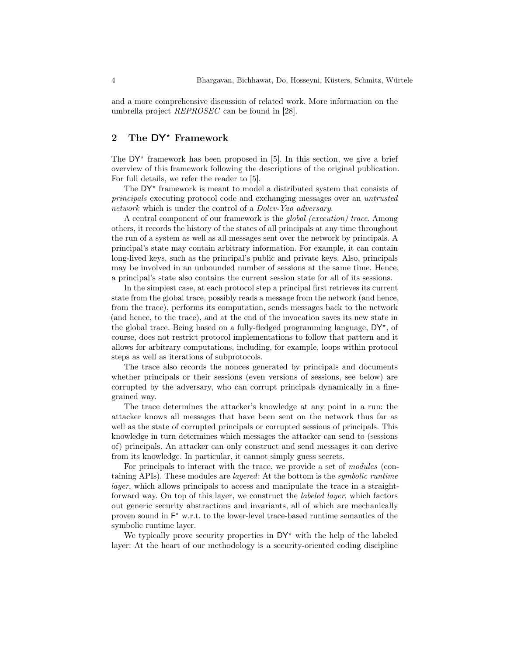and a more comprehensive discussion of related work. More information on the umbrella project REPROSEC can be found in [\[28\]](#page-19-20).

# <span id="page-3-0"></span>2 The DY<sup>\*</sup> Framework

The  $DY^*$  framework has been proposed in [\[5\]](#page-18-6). In this section, we give a brief overview of this framework following the descriptions of the original publication. For full details, we refer the reader to [\[5\]](#page-18-6).

The  $DY^*$  framework is meant to model a distributed system that consists of principals executing protocol code and exchanging messages over an untrusted network which is under the control of a *Dolev-Yao adversary*.

A central component of our framework is the global (execution) trace. Among others, it records the history of the states of all principals at any time throughout the run of a system as well as all messages sent over the network by principals. A principal's state may contain arbitrary information. For example, it can contain long-lived keys, such as the principal's public and private keys. Also, principals may be involved in an unbounded number of sessions at the same time. Hence, a principal's state also contains the current session state for all of its sessions.

In the simplest case, at each protocol step a principal first retrieves its current state from the global trace, possibly reads a message from the network (and hence, from the trace), performs its computation, sends messages back to the network (and hence, to the trace), and at the end of the invocation saves its new state in the global trace. Being based on a fully-fledged programming language,  $DY^*$ , of course, does not restrict protocol implementations to follow that pattern and it allows for arbitrary computations, including, for example, loops within protocol steps as well as iterations of subprotocols.

The trace also records the nonces generated by principals and documents whether principals or their sessions (even versions of sessions, see below) are corrupted by the adversary, who can corrupt principals dynamically in a finegrained way.

The trace determines the attacker's knowledge at any point in a run: the attacker knows all messages that have been sent on the network thus far as well as the state of corrupted principals or corrupted sessions of principals. This knowledge in turn determines which messages the attacker can send to (sessions of) principals. An attacker can only construct and send messages it can derive from its knowledge. In particular, it cannot simply guess secrets.

For principals to interact with the trace, we provide a set of modules (containing APIs). These modules are layered: At the bottom is the symbolic runtime layer, which allows principals to access and manipulate the trace in a straightforward way. On top of this layer, we construct the labeled layer, which factors out generic security abstractions and invariants, all of which are mechanically proven sound in  $F^*$  w.r.t. to the lower-level trace-based runtime semantics of the symbolic runtime layer.

We typically prove security properties in  $DY^*$  with the help of the labeled layer: At the heart of our methodology is a security-oriented coding discipline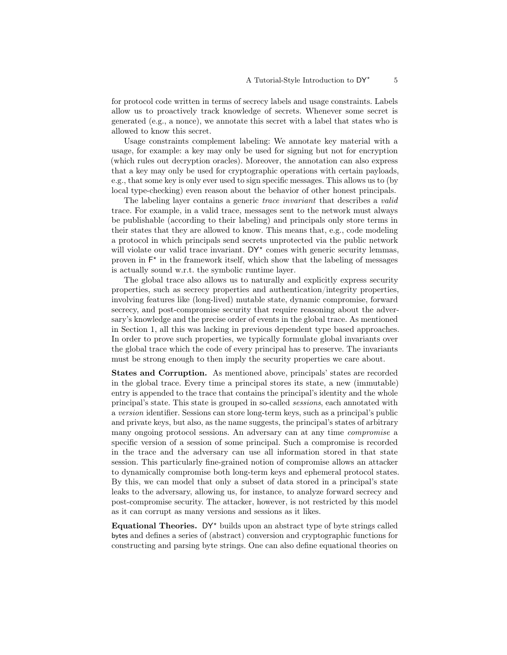for protocol code written in terms of secrecy labels and usage constraints. Labels allow us to proactively track knowledge of secrets. Whenever some secret is generated (e.g., a nonce), we annotate this secret with a label that states who is allowed to know this secret.

Usage constraints complement labeling: We annotate key material with a usage, for example: a key may only be used for signing but not for encryption (which rules out decryption oracles). Moreover, the annotation can also express that a key may only be used for cryptographic operations with certain payloads, e.g., that some key is only ever used to sign specific messages. This allows us to (by local type-checking) even reason about the behavior of other honest principals.

The labeling layer contains a generic *trace invariant* that describes a *valid* trace. For example, in a valid trace, messages sent to the network must always be publishable (according to their labeling) and principals only store terms in their states that they are allowed to know. This means that, e.g., code modeling a protocol in which principals send secrets unprotected via the public network will violate our valid trace invariant.  $DY^*$  comes with generic security lemmas, proven in  $F^*$  in the framework itself, which show that the labeling of messages is actually sound w.r.t. the symbolic runtime layer.

The global trace also allows us to naturally and explicitly express security properties, such as secrecy properties and authentication/integrity properties, involving features like (long-lived) mutable state, dynamic compromise, forward secrecy, and post-compromise security that require reasoning about the adversary's knowledge and the precise order of events in the global trace. As mentioned in Section [1,](#page-0-0) all this was lacking in previous dependent type based approaches. In order to prove such properties, we typically formulate global invariants over the global trace which the code of every principal has to preserve. The invariants must be strong enough to then imply the security properties we care about.

States and Corruption. As mentioned above, principals' states are recorded in the global trace. Every time a principal stores its state, a new (immutable) entry is appended to the trace that contains the principal's identity and the whole principal's state. This state is grouped in so-called sessions, each annotated with a version identifier. Sessions can store long-term keys, such as a principal's public and private keys, but also, as the name suggests, the principal's states of arbitrary many ongoing protocol sessions. An adversary can at any time compromise a specific version of a session of some principal. Such a compromise is recorded in the trace and the adversary can use all information stored in that state session. This particularly fine-grained notion of compromise allows an attacker to dynamically compromise both long-term keys and ephemeral protocol states. By this, we can model that only a subset of data stored in a principal's state leaks to the adversary, allowing us, for instance, to analyze forward secrecy and post-compromise security. The attacker, however, is not restricted by this model as it can corrupt as many versions and sessions as it likes.

Equational Theories.  $DY^*$  builds upon an abstract type of byte strings called bytes and defines a series of (abstract) conversion and cryptographic functions for constructing and parsing byte strings. One can also define equational theories on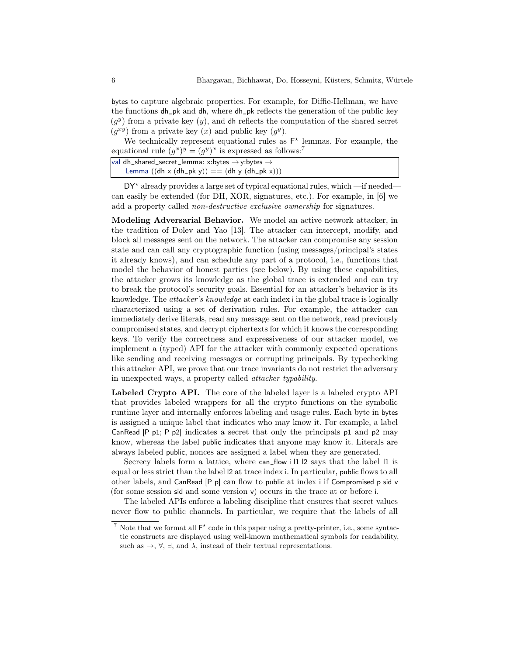bytes to capture algebraic properties. For example, for Diffie-Hellman, we have the functions dh\_pk and dh, where dh\_pk reflects the generation of the public key  $(g<sup>y</sup>)$  from a private key  $(y)$ , and dh reflects the computation of the shared secret  $(g^{xy})$  from a private key  $(x)$  and public key  $(g^y)$ .

We technically represent equational rules as  $F^*$  lemmas. For example, the equational rule  $(g^x)^y = (g^y)^x$  is expressed as follows:<sup>[7](#page-5-0)</sup>

| val <code>dh_shared_secret_lemma</code> : x:bytes $\rightarrow$ y:bytes $\rightarrow$ |  |
|---------------------------------------------------------------------------------------|--|
| Lemma $((dh \times (dh$ <sub>-</sub> pk y $)) == (dh y (dh$ -pk x $)))$               |  |

 $DY^*$  already provides a large set of typical equational rules, which —if neededcan easily be extended (for DH, XOR, signatures, etc.). For example, in [\[6\]](#page-18-7) we add a property called non-destructive exclusive ownership for signatures.

Modeling Adversarial Behavior. We model an active network attacker, in the tradition of Dolev and Yao [\[13\]](#page-19-1). The attacker can intercept, modify, and block all messages sent on the network. The attacker can compromise any session state and can call any cryptographic function (using messages/principal's states it already knows), and can schedule any part of a protocol, i.e., functions that model the behavior of honest parties (see below). By using these capabilities, the attacker grows its knowledge as the global trace is extended and can try to break the protocol's security goals. Essential for an attacker's behavior is its knowledge. The attacker's knowledge at each index i in the global trace is logically characterized using a set of derivation rules. For example, the attacker can immediately derive literals, read any message sent on the network, read previously compromised states, and decrypt ciphertexts for which it knows the corresponding keys. To verify the correctness and expressiveness of our attacker model, we implement a (typed) API for the attacker with commonly expected operations like sending and receiving messages or corrupting principals. By typechecking this attacker API, we prove that our trace invariants do not restrict the adversary in unexpected ways, a property called attacker typability.

Labeled Crypto API. The core of the labeled layer is a labeled crypto API that provides labeled wrappers for all the crypto functions on the symbolic runtime layer and internally enforces labeling and usage rules. Each byte in bytes is assigned a unique label that indicates who may know it. For example, a label CanRead  $[P \text{ p1}; P \text{ p2}]$  indicates a secret that only the principals  $p1$  and  $p2$  may know, whereas the label public indicates that anyone may know it. Literals are always labeled public, nonces are assigned a label when they are generated.

Secrecy labels form a lattice, where can\_flow i l1 l2 says that the label l1 is equal or less strict than the label l2 at trace index i. In particular, public flows to all other labels, and CanRead [P p] can flow to public at index i if Compromised p sid v (for some session sid and some version v) occurs in the trace at or before i.

The labeled APIs enforce a labeling discipline that ensures that secret values never flow to public channels. In particular, we require that the labels of all

<span id="page-5-0"></span><sup>&</sup>lt;sup>7</sup> Note that we format all  $F^*$  code in this paper using a pretty-printer, i.e., some syntactic constructs are displayed using well-known mathematical symbols for readability, such as  $\rightarrow$ ,  $\forall$ ,  $\exists$ , and  $\lambda$ , instead of their textual representations.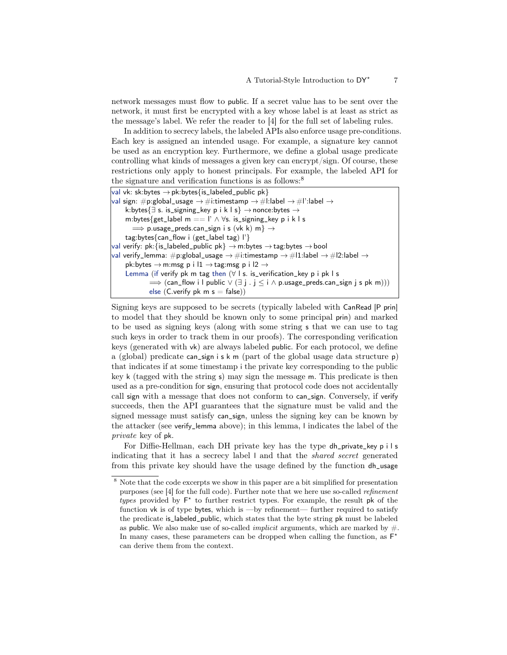network messages must flow to public. If a secret value has to be sent over the network, it must first be encrypted with a key whose label is at least as strict as the message's label. We refer the reader to [\[4\]](#page-18-8) for the full set of labeling rules.

In addition to secrecy labels, the labeled APIs also enforce usage pre-conditions. Each key is assigned an intended usage. For example, a signature key cannot be used as an encryption key. Furthermore, we define a global usage predicate controlling what kinds of messages a given key can encrypt/sign. Of course, these restrictions only apply to honest principals. For example, the labeled API for the signature and verification functions is as follows:<sup>[8](#page-6-0)</sup>

```
val vk: sk:bytes \rightarrow pk:bytes{is_labeled_public pk}
val sign: #p:global_usage \rightarrow #i:timestamp \rightarrow #l:label \rightarrow #l':label \rightarrowk:bytes{\exists s. is_signing_key p i k l s} \rightarrow nonce:bytes \rightarrowm:bytes{get_label m == \vert \cdot \wedge \forall s. is_signing_key p i k l s
        \Rightarrow p.usage_preds.can_sign i s (vk k) m} \rightarrowtag:bytes{can_flow i (get_label tag) l'}
val verify: pk: {is_labeled_public pk} \rightarrow m:bytes \rightarrow tag:bytes \rightarrow bool
val verify_lemma: #p:global_usage \rightarrow #i:timestamp \rightarrow #l1:label \rightarrow #l2:label \rightarrowpk: bytes \rightarrow m: msg p i l1 \rightarrow tag: msg p i l2 \rightarrowLemma (if verify pk m tag then (\forall \, l \, s. \, is\_version\_key p \, i \, pk \, ls=⇒ (can_flow i l public ∨ (∃ j . j ≤ i ∧ p.usage_preds.can_sign j s pk m)))
               else (C.verify pk m s = false))
```
Signing keys are supposed to be secrets (typically labeled with CanRead [P prin] to model that they should be known only to some principal prin) and marked to be used as signing keys (along with some string s that we can use to tag such keys in order to track them in our proofs). The corresponding verification keys (generated with vk) are always labeled public. For each protocol, we define a (global) predicate can\_sign i s k m (part of the global usage data structure p) that indicates if at some timestamp i the private key corresponding to the public key k (tagged with the string s) may sign the message m. This predicate is then used as a pre-condition for sign, ensuring that protocol code does not accidentally call sign with a message that does not conform to can\_sign. Conversely, if verify succeeds, then the API guarantees that the signature must be valid and the signed message must satisfy can\_sign, unless the signing key can be known by the attacker (see verify\_lemma above); in this lemma, l indicates the label of the private key of pk.

For Diffie-Hellman, each DH private key has the type dh\_private\_key p i l s indicating that it has a secrecy label l and that the shared secret generated from this private key should have the usage defined by the function dh\_usage

<span id="page-6-0"></span><sup>8</sup> Note that the code excerpts we show in this paper are a bit simplified for presentation purposes (see [\[4\]](#page-18-8) for the full code). Further note that we here use so-called refinement types provided by  $F^*$  to further restrict types. For example, the result pk of the function vk is of type bytes, which is —by refinement— further required to satisfy the predicate is\_labeled\_public, which states that the byte string pk must be labeled as public. We also make use of so-called *implicit* arguments, which are marked by  $\#$ . In many cases, these parameters can be dropped when calling the function, as  $F^*$ can derive them from the context.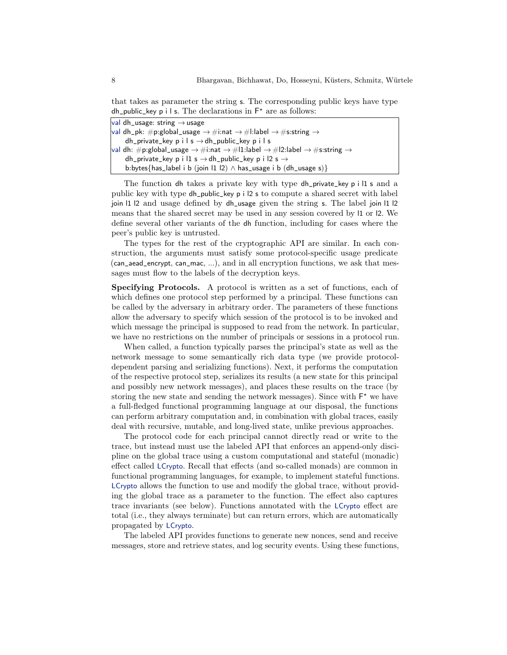that takes as parameter the string s. The corresponding public keys have type dh\_public\_key p i l s. The declarations in  $F^*$  are as follows:

| $\vert$ val dh_usage: string $\rightarrow$ usage                                                                                   |
|------------------------------------------------------------------------------------------------------------------------------------|
| val dh_pk: #p:global_usage $\rightarrow$ #i:nat $\rightarrow$ #l:label $\rightarrow$ #s:string $\rightarrow$                       |
| dh_private_key $p \text{ i } s \rightarrow dh$ _public_key $p \text{ i } s$                                                        |
| val dh: #p:global_usage $\rightarrow$ #i:nat $\rightarrow$ #l1:label $\rightarrow$ #l2:label $\rightarrow$ #s:string $\rightarrow$ |
| dh_private_key p i l1 s $\rightarrow$ dh_public_key p i l2 s $\rightarrow$                                                         |
| b:bytes{has_label i b (join $11$ $12$ ) $\land$ has_usage i b (dh_usage s)}                                                        |

The function dh takes a private key with type dh\_private\_key p i l1 s and a public key with type dh\_public\_key p i l2 s to compute a shared secret with label join l1 l2 and usage defined by dh\_usage given the string s. The label join l1 l2 means that the shared secret may be used in any session covered by l1 or l2. We define several other variants of the dh function, including for cases where the peer's public key is untrusted.

The types for the rest of the cryptographic API are similar. In each construction, the arguments must satisfy some protocol-specific usage predicate (can\_aead\_encrypt, can\_mac, ...), and in all encryption functions, we ask that messages must flow to the labels of the decryption keys.

Specifying Protocols. A protocol is written as a set of functions, each of which defines one protocol step performed by a principal. These functions can be called by the adversary in arbitrary order. The parameters of these functions allow the adversary to specify which session of the protocol is to be invoked and which message the principal is supposed to read from the network. In particular, we have no restrictions on the number of principals or sessions in a protocol run.

When called, a function typically parses the principal's state as well as the network message to some semantically rich data type (we provide protocoldependent parsing and serializing functions). Next, it performs the computation of the respective protocol step, serializes its results (a new state for this principal and possibly new network messages), and places these results on the trace (by storing the new state and sending the network messages). Since with  $F^*$  we have a full-fledged functional programming language at our disposal, the functions can perform arbitrary computation and, in combination with global traces, easily deal with recursive, mutable, and long-lived state, unlike previous approaches.

The protocol code for each principal cannot directly read or write to the trace, but instead must use the labeled API that enforces an append-only discipline on the global trace using a custom computational and stateful (monadic) effect called LCrypto. Recall that effects (and so-called monads) are common in functional programming languages, for example, to implement stateful functions. LCrypto allows the function to use and modify the global trace, without providing the global trace as a parameter to the function. The effect also captures trace invariants (see below). Functions annotated with the LCrypto effect are total (i.e., they always terminate) but can return errors, which are automatically propagated by LCrypto.

The labeled API provides functions to generate new nonces, send and receive messages, store and retrieve states, and log security events. Using these functions,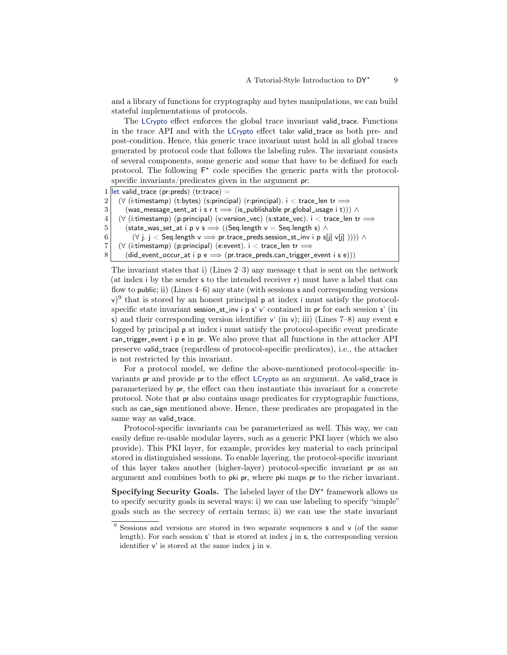and a library of functions for cryptography and bytes manipulations, we can build stateful implementations of protocols.

The LCrypto effect enforces the global trace invariant valid\_trace. Functions in the trace API and with the LCrypto effect take valid\_trace as both pre- and post-condition. Hence, this generic trace invariant must hold in all global traces generated by protocol code that follows the labeling rules. The invariant consists of several components, some generic and some that have to be defined for each protocol. The following  $F^*$  code specifies the generic parts with the protocolspecific invariants/predicates given in the argument pr:

<span id="page-8-2"></span><span id="page-8-1"></span><span id="page-8-0"></span>1 let valid\_trace (pr:preds) (tr:trace) = 2  $|(\forall$  (i:timestamp) (t:bytes) (s:principal) (r:principal). i < trace\_len tr  $\Longrightarrow$ 3 (was\_message\_sent\_at i s r t  $\implies$  (is\_publishable pr.global\_usage i t)))  $\wedge$ 4 | (∀ (i:timestamp) (p:principal) (v:version\_vec) (s:state\_vec). i < trace\_len tr  $\Longrightarrow$ 5 (state\_was\_set\_at i p v s  $\Longrightarrow$  ((Seq.length v = Seq.length s)  $\land$ 6 ( $\forall$  j. j < Seq.length v  $\implies$  pr.trace\_preds.session\_st\_inv i p s[j] v[j] ))))  $\land$ <br>7 ( $\forall$  (i:timestamp) (p:principal) (e:event). i < trace\_len tr  $\implies$  $(\forall$  (i:timestamp) (p:principal) (e:event). i < trace\_len tr  $\Longrightarrow$ 8 (did\_event\_occur\_at i p e  $\implies$  (pr.trace\_preds.can\_trigger\_event i s e)))

<span id="page-8-6"></span><span id="page-8-5"></span><span id="page-8-3"></span>The invariant states that i) (Lines [2–](#page-8-0)[3\)](#page-8-1) any message t that is sent on the network (at index i by the sender s to the intended receiver r) must have a label that can flow to public; ii) (Lines [4–](#page-8-2)[6\)](#page-8-3) any state (with sessions s and corresponding versions  $(v)^9$  $(v)^9$  that is stored by an honest principal  $p$  at index i must satisfy the protocolspecific state invariant session\_st\_inv i p s' v' contained in pr for each session s' (in s) and their corresponding version identifier v' (in v); iii) (Lines  $7-8$ ) any event e logged by principal p at index i must satisfy the protocol-specific event predicate can\_trigger\_event i p e in pr. We also prove that all functions in the attacker API preserve valid\_trace (regardless of protocol-specific predicates), i.e., the attacker is not restricted by this invariant.

For a protocol model, we define the above-mentioned protocol-specific invariants pr and provide pr to the effect LCrypto as an argument. As valid\_trace is parameterized by pr, the effect can then instantiate this invariant for a concrete protocol. Note that pr also contains usage predicates for cryptographic functions, such as can\_sign mentioned above. Hence, these predicates are propagated in the same way as valid\_trace.

Protocol-specific invariants can be parameterized as well. This way, we can easily define re-usable modular layers, such as a generic PKI layer (which we also provide). This PKI layer, for example, provides key material to each principal stored in distinguished sessions. To enable layering, the protocol-specific invariant of this layer takes another (higher-layer) protocol-specific invariant pr as an argument and combines both to pki pr, where pki maps pr to the richer invariant.

Specifying Security Goals. The labeled layer of the DY\* framework allows us to specify security goals in several ways: i) we can use labeling to specify "simple" goals such as the secrecy of certain terms; ii) we can use the state invariant

<span id="page-8-4"></span><sup>&</sup>lt;sup>9</sup> Sessions and versions are stored in two separate sequences **s** and **v** (of the same length). For each session  $s'$  that is stored at index  $j$  in  $s$ , the corresponding version identifier v' is stored at the same index j in v.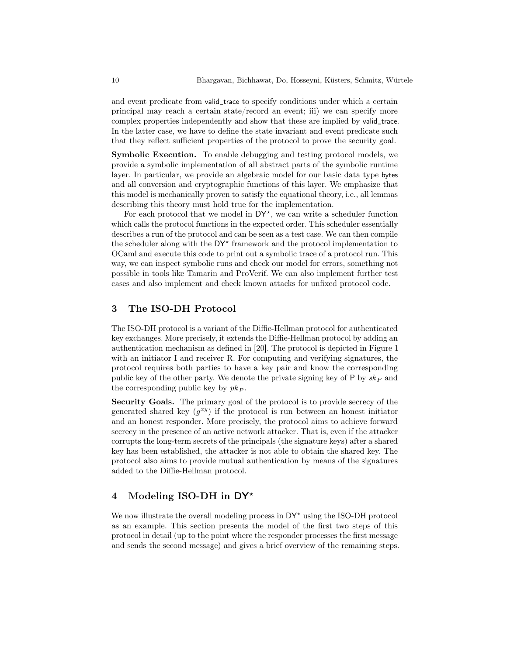and event predicate from valid\_trace to specify conditions under which a certain principal may reach a certain state/record an event; iii) we can specify more complex properties independently and show that these are implied by valid\_trace. In the latter case, we have to define the state invariant and event predicate such that they reflect sufficient properties of the protocol to prove the security goal.

Symbolic Execution. To enable debugging and testing protocol models, we provide a symbolic implementation of all abstract parts of the symbolic runtime layer. In particular, we provide an algebraic model for our basic data type bytes and all conversion and cryptographic functions of this layer. We emphasize that this model is mechanically proven to satisfy the equational theory, i.e., all lemmas describing this theory must hold true for the implementation.

For each protocol that we model in  $DY^*$ , we can write a scheduler function which calls the protocol functions in the expected order. This scheduler essentially describes a run of the protocol and can be seen as a test case. We can then compile the scheduler along with the  $DY^*$  framework and the protocol implementation to OCaml and execute this code to print out a symbolic trace of a protocol run. This way, we can inspect symbolic runs and check our model for errors, something not possible in tools like Tamarin and ProVerif. We can also implement further test cases and also implement and check known attacks for unfixed protocol code.

# <span id="page-9-0"></span>3 The ISO-DH Protocol

The ISO-DH protocol is a variant of the Diffie-Hellman protocol for authenticated key exchanges. More precisely, it extends the Diffie-Hellman protocol by adding an authentication mechanism as defined in [\[20\]](#page-19-19). The protocol is depicted in Figure [1](#page-10-0) with an initiator I and receiver R. For computing and verifying signatures, the protocol requires both parties to have a key pair and know the corresponding public key of the other party. We denote the private signing key of P by  $sk_P$  and the corresponding public key by  $pk_{P}$ .

Security Goals. The primary goal of the protocol is to provide secrecy of the generated shared key  $(g^{xy})$  if the protocol is run between an honest initiator and an honest responder. More precisely, the protocol aims to achieve forward secrecy in the presence of an active network attacker. That is, even if the attacker corrupts the long-term secrets of the principals (the signature keys) after a shared key has been established, the attacker is not able to obtain the shared key. The protocol also aims to provide mutual authentication by means of the signatures added to the Diffie-Hellman protocol.

# <span id="page-9-1"></span>4 Modeling ISO-DH in DY\*

We now illustrate the overall modeling process in  $DY^*$  using the ISO-DH protocol as an example. This section presents the model of the first two steps of this protocol in detail (up to the point where the responder processes the first message and sends the second message) and gives a brief overview of the remaining steps.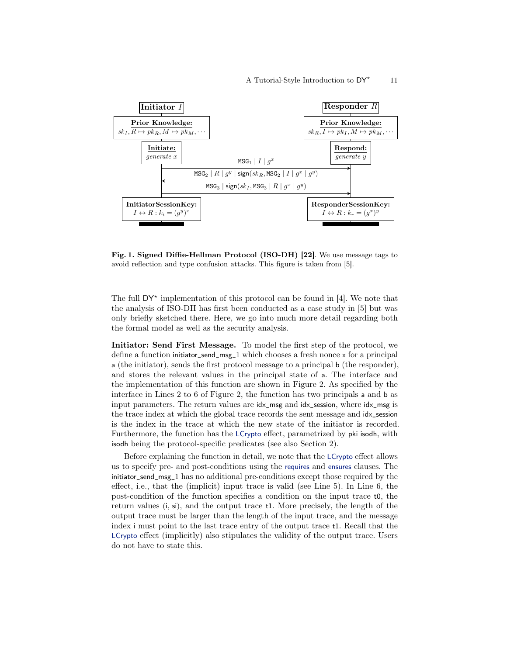

<span id="page-10-0"></span>Fig. 1. Signed Diffie-Hellman Protocol (ISO-DH) [\[22\]](#page-19-21). We use message tags to avoid reflection and type confusion attacks. This figure is taken from [\[5\]](#page-18-6).

The full  $DY^*$  implementation of this protocol can be found in [\[4\]](#page-18-8). We note that the analysis of ISO-DH has first been conducted as a case study in [\[5\]](#page-18-6) but was only briefly sketched there. Here, we go into much more detail regarding both the formal model as well as the security analysis.

Initiator: Send First Message. To model the first step of the protocol, we define a function initiator\_send\_msg\_1 which chooses a fresh nonce x for a principal a (the initiator), sends the first protocol message to a principal b (the responder), and stores the relevant values in the principal state of a. The interface and the implementation of this function are shown in Figure [2.](#page-11-0) As specified by the interface in Lines [2](#page-11-1) to [6](#page-11-2) of Figure [2,](#page-11-0) the function has two principals a and b as input parameters. The return values are idx\_msg and idx\_session, where idx\_msg is the trace index at which the global trace records the sent message and idx\_session is the index in the trace at which the new state of the initiator is recorded. Furthermore, the function has the LCrypto effect, parametrized by pki isodh, with isodh being the protocol-specific predicates (see also Section [2\)](#page-3-0).

Before explaining the function in detail, we note that the LCrypto effect allows us to specify pre- and post-conditions using the requires and ensures clauses. The initiator\_send\_msg\_1 has no additional pre-conditions except those required by the effect, i.e., that the (implicit) input trace is valid (see Line [5\)](#page-11-3). In Line [6,](#page-11-2) the post-condition of the function specifies a condition on the input trace t0, the return values (i, si), and the output trace t1. More precisely, the length of the output trace must be larger than the length of the input trace, and the message index i must point to the last trace entry of the output trace t1. Recall that the LCrypto effect (implicitly) also stipulates the validity of the output trace. Users do not have to state this.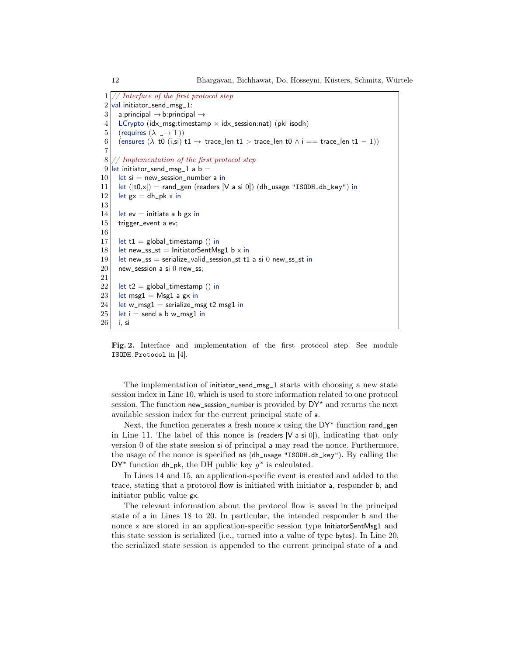<span id="page-11-7"></span><span id="page-11-6"></span><span id="page-11-5"></span><span id="page-11-4"></span><span id="page-11-3"></span><span id="page-11-2"></span><span id="page-11-1"></span> $1 //$  Interface of the first protocol step  $2$  val initiator\_send\_msg\_1:  $3 \vert$  a:principal  $\rightarrow$  b:principal  $\rightarrow$  $4$  LCrypto (idx\_msg:timestamp  $\times$  idx\_session:nat) (pki isodh) 5 (requires  $(\lambda \rightarrow \top)$ ) 6 (ensures  $(\lambda t0$  (i,si) t1  $\rightarrow$  trace\_len t1 > trace\_len t0  $\land$  i == trace\_len t1 - 1)) 7  $8$  // Implementation of the first protocol step 9 let initiator\_send\_msg\_1 a b =  $10$  let si = new\_session\_number a in 11 let  $(|t0,x|)$  = rand\_gen (readers  $|V$  a si 0]) (dh\_usage "ISODH.dh\_key") in 12 let  $gx = dh$ <sub>-pk x</sub> in 13 14 let  $ev =$  initiate a b gx in  $15$  trigger\_event a ev; 16 17 let  $t1 =$  global\_timestamp () in  $18$  let new\_ss\_st = InitiatorSentMsg1 b x in  $19$  let new\_ss = serialize\_valid\_session\_st t1 a si 0 new\_ss\_st in  $20$  new\_session a si 0 new\_ss; 21 22 let t2 = global\_timestamp () in  $23$  let msg1 = Msg1 a gx in  $24$  let w\_msg1 = serialize\_msg t2 msg1 in  $25$  let i = send a b w\_msg1 in  $26$  i, si

<span id="page-11-13"></span><span id="page-11-12"></span><span id="page-11-11"></span><span id="page-11-10"></span><span id="page-11-9"></span><span id="page-11-8"></span><span id="page-11-0"></span>Fig. 2. Interface and implementation of the first protocol step. See module ISODH.Protocol in [\[4\]](#page-18-8).

The implementation of initiator\_send\_msg\_1 starts with choosing a new state session index in Line [10,](#page-11-4) which is used to store information related to one protocol session. The function new\_session\_number is provided by  $DY^*$  and returns the next available session index for the current principal state of a.

Next, the function generates a fresh nonce x using the DY\* function rand\_gen in Line [11.](#page-11-5) The label of this nonce is (readers  $[V \, a \, s \, i \, 0]$ ), indicating that only version 0 of the state session si of principal a may read the nonce. Furthermore, the usage of the nonce is specified as (dh\_usage "ISODH.dh\_key"). By calling the  $DY^*$  function dh\_pk, the DH public key  $g^x$  is calculated.

In Lines [14](#page-11-6) and [15,](#page-11-7) an application-specific event is created and added to the trace, stating that a protocol flow is initiated with initiator a, responder b, and initiator public value gx.

The relevant information about the protocol flow is saved in the principal state of a in Lines [18](#page-11-8) to [20.](#page-11-9) In particular, the intended responder b and the nonce x are stored in an application-specific session type InitiatorSentMsg1 and this state session is serialized (i.e., turned into a value of type bytes). In Line [20,](#page-11-9) the serialized state session is appended to the current principal state of a and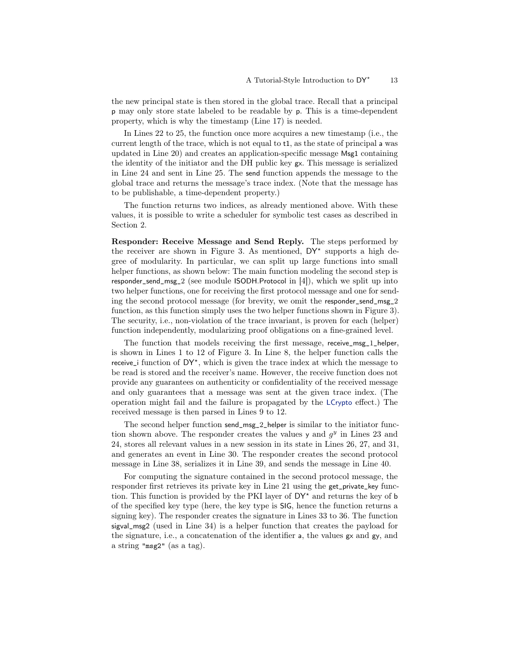13

the new principal state is then stored in the global trace. Recall that a principal p may only store state labeled to be readable by p. This is a time-dependent property, which is why the timestamp (Line [17\)](#page-11-10) is needed.

In Lines [22](#page-11-11) to [25,](#page-11-12) the function once more acquires a new timestamp (i.e., the current length of the trace, which is not equal to t1, as the state of principal a was updated in Line [20\)](#page-11-9) and creates an application-specific message Msg1 containing the identity of the initiator and the DH public key gx. This message is serialized in Line [24](#page-11-13) and sent in Line [25.](#page-11-12) The send function appends the message to the global trace and returns the message's trace index. (Note that the message has to be publishable, a time-dependent property.)

The function returns two indices, as already mentioned above. With these values, it is possible to write a scheduler for symbolic test cases as described in Section [2.](#page-3-0)

Responder: Receive Message and Send Reply. The steps performed by the receiver are shown in Figure [3.](#page-14-0) As mentioned,  $DY^*$  supports a high degree of modularity. In particular, we can split up large functions into small helper functions, as shown below: The main function modeling the second step is responder\_send\_msg\_2 (see module ISODH.Protocol in  $[4]$ ), which we split up into two helper functions, one for receiving the first protocol message and one for sending the second protocol message (for brevity, we omit the responder\_send\_msg\_2 function, as this function simply uses the two helper functions shown in Figure [3\)](#page-14-0). The security, i.e., non-violation of the trace invariant, is proven for each (helper) function independently, modularizing proof obligations on a fine-grained level.

The function that models receiving the first message, receive\_msg\_1\_helper, is shown in Lines [1](#page-14-1) to [12](#page-14-2) of Figure [3.](#page-14-0) In Line [8,](#page-14-3) the helper function calls the receive\_i function of DY\*, which is given the trace index at which the message to be read is stored and the receiver's name. However, the receive function does not provide any guarantees on authenticity or confidentiality of the received message and only guarantees that a message was sent at the given trace index. (The operation might fail and the failure is propagated by the LCrypto effect.) The received message is then parsed in Lines [9](#page-14-4) to [12.](#page-14-2)

The second helper function send\_msg\_2\_helper is similar to the initiator function shown above. The responder creates the values y and  $g<sup>y</sup>$  in Lines [23](#page-14-5) and [24,](#page-14-6) stores all relevant values in a new session in its state in Lines [26,](#page-14-7) [27,](#page-14-8) and [31,](#page-14-9) and generates an event in Line [30.](#page-14-10) The responder creates the second protocol message in Line [38,](#page-14-11) serializes it in Line [39,](#page-14-12) and sends the message in Line [40.](#page-14-13)

For computing the signature contained in the second protocol message, the responder first retrieves its private key in Line [21](#page-14-14) using the get\_private\_key function. This function is provided by the PKI layer of  $DY^*$  and returns the key of b of the specified key type (here, the key type is SIG, hence the function returns a signing key). The responder creates the signature in Lines [33](#page-14-15) to [36.](#page-14-16) The function sigval\_msg2 (used in Line [34\)](#page-14-17) is a helper function that creates the payload for the signature, i.e., a concatenation of the identifier a, the values gx and gy, and a string "msg2" (as a tag).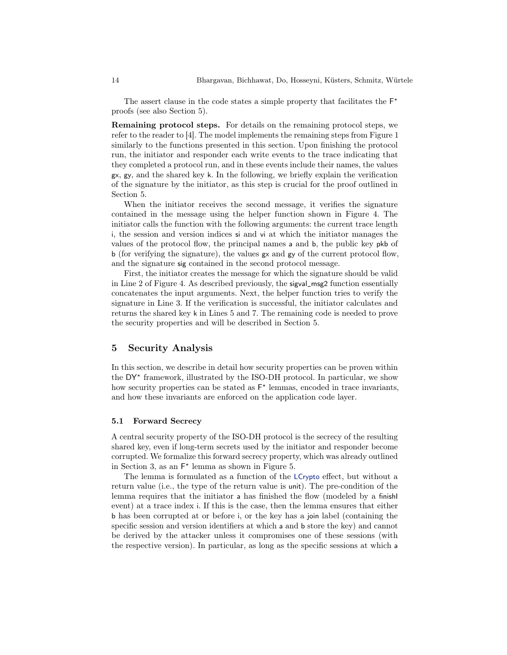The assert clause in the code states a simple property that facilitates the  $\mathsf{F}^\star$ proofs (see also Section [5\)](#page-13-0).

Remaining protocol steps. For details on the remaining protocol steps, we refer to the reader to [\[4\]](#page-18-8). The model implements the remaining steps from Figure [1](#page-10-0) similarly to the functions presented in this section. Upon finishing the protocol run, the initiator and responder each write events to the trace indicating that they completed a protocol run, and in these events include their names, the values gx, gy, and the shared key k. In the following, we briefly explain the verification of the signature by the initiator, as this step is crucial for the proof outlined in Section [5.](#page-13-0)

When the initiator receives the second message, it verifies the signature contained in the message using the helper function shown in Figure [4.](#page-15-0) The initiator calls the function with the following arguments: the current trace length i, the session and version indices si and vi at which the initiator manages the values of the protocol flow, the principal names a and b, the public key pkb of b (for verifying the signature), the values gx and gy of the current protocol flow, and the signature sig contained in the second protocol message.

First, the initiator creates the message for which the signature should be valid in Line [2](#page-15-1) of Figure [4.](#page-15-0) As described previously, the sigval\_msg2 function essentially concatenates the input arguments. Next, the helper function tries to verify the signature in Line [3.](#page-15-2) If the verification is successful, the initiator calculates and returns the shared key k in Lines [5](#page-15-3) and [7.](#page-15-4) The remaining code is needed to prove the security properties and will be described in Section [5.](#page-13-0)

### <span id="page-13-0"></span>5 Security Analysis

In this section, we describe in detail how security properties can be proven within the DY<sup>\*</sup> framework, illustrated by the ISO-DH protocol. In particular, we show how security properties can be stated as  $F^*$  lemmas, encoded in trace invariants, and how these invariants are enforced on the application code layer.

#### 5.1 Forward Secrecy

A central security property of the ISO-DH protocol is the secrecy of the resulting shared key, even if long-term secrets used by the initiator and responder become corrupted. We formalize this forward secrecy property, which was already outlined in Section [3,](#page-9-0) as an  $F^*$  lemma as shown in Figure [5.](#page-15-5)

The lemma is formulated as a function of the LCrypto effect, but without a return value (i.e., the type of the return value is unit). The pre-condition of the lemma requires that the initiator a has finished the flow (modeled by a finish event) at a trace index i. If this is the case, then the lemma ensures that either b has been corrupted at or before i, or the key has a join label (containing the specific session and version identifiers at which a and b store the key) and cannot be derived by the attacker unless it compromises one of these sessions (with the respective version). In particular, as long as the specific sessions at which a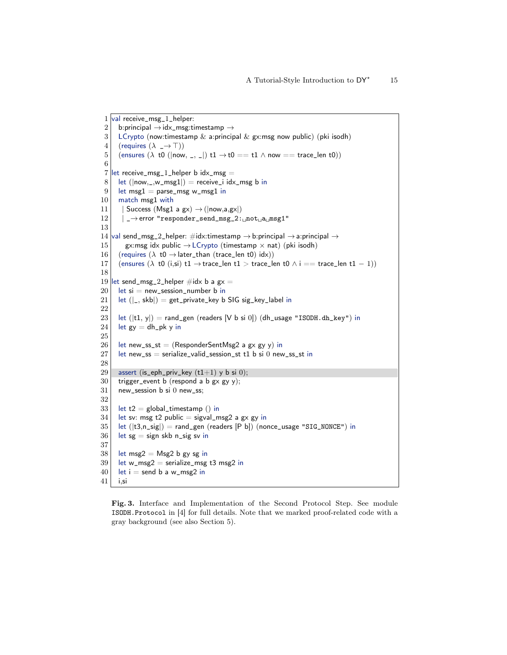```
1 val receive_msg_1_helper:<br>2 b:principal \rightarrow idx_msg:ti
      b:principal \rightarrow idx_msg:timestamp \rightarrow3 LCrypto (now:timestamp \& a:principal \& gx:msg now public) (pki isodh)
 4 (requires (\lambda \rightarrow \top))<br>5 (ensures (\lambda \text{ t0} (lnow
      (ensures (\lambda t0 (|now, _, _|) t1 \rightarrow t0 == t1 \land now == trace_len t0))
 6
 7 let receive_msg_1_helper b idx_msg =
 8 let (|now, ..., w_msg1|) = receive_i idx_msg b in
 9 let msg1 = parse_msg w_msg1 in
10 match msg1 with
11 | Success (Msg1 a gx) \rightarrow (|now,a,gx|)
|12| | _\rightarrow error "responder_send_msg_2:\text{const}<sub>L</sub>a<sub>\text{u}</sub>msg1"
13
14 val send_msg_2_helper: #idx:timestamp \rightarrow b:principal \rightarrow a:principal \rightarrow15 gx:msg idx public \rightarrow LCrypto (timestamp \times nat) (pki isodh)
16 (requires (\lambda t0 \rightarrow later\_than (trace\_len t0) idx))17 (ensures (\lambda t0 (i,si) t1 \rightarrow trace\_len t1 > trace\_len t0 \land i == trace\_len t1 - 1))
18
19 let send_msg_2_helper \#idx b a gx =
20 let si = new_session_number b in
21 let (|, \text{skb}|) = \text{get\_private\_key} b SIG sig_key_label in
22
23 let (|t1, y|) = rand_gen (readers [V b si 0]) (dh_usage "ISODH.dh_key") in
24 let gy = dh_pk y in
25
26 let new_ss_st = (ResponderSentMsg2 a gx gy y) in <br>27 let new ss = serialize valid session st t1 b si 0 new
      let new_ss = serialize_valid_session_st t1 b si 0 new_ss_st in
28
29 assert (is_eph_priv_key (t1+1) y b si 0);
30 trigger_event b (respond a b gx gy y);
31 new_session b si 0 new_ss;
32
33 let t2 = global_timestamp () in
34 let sv: msg t2 public = sigval_msg2 a gx gy in
35 let (|t3,n_s|) = rand_gen (readers [P b]) (nonce_usage "SIG_NONCE") in let sg = sign skb n_sig sv in
      let sg = sign skb n_sig sv in37
38 let msg2 = Msg2 b gy sg in
39 let w_msg2 = serialize_msg t3 msg2 in
40 let i = send b a w_msg2 in
41 i.si
```
<span id="page-14-18"></span><span id="page-14-17"></span><span id="page-14-16"></span><span id="page-14-15"></span><span id="page-14-13"></span><span id="page-14-12"></span><span id="page-14-11"></span><span id="page-14-10"></span><span id="page-14-9"></span><span id="page-14-8"></span><span id="page-14-7"></span><span id="page-14-6"></span><span id="page-14-5"></span><span id="page-14-0"></span>Fig. 3. Interface and Implementation of the Second Protocol Step. See module ISODH.Protocol in [\[4\]](#page-18-8) for full details. Note that we marked proof-related code with a gray background (see also Section [5\)](#page-13-0).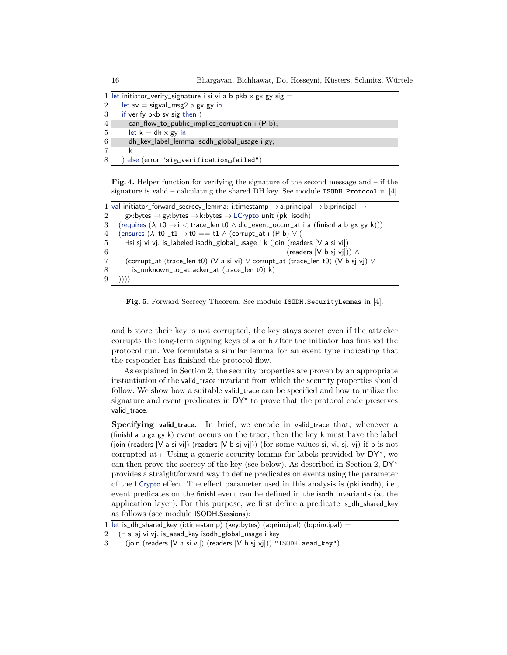<span id="page-15-7"></span><span id="page-15-6"></span><span id="page-15-3"></span><span id="page-15-2"></span><span id="page-15-1"></span>1 let initiator\_verify\_signature i si vi a b pkb  $\times$  g $\times$  gy sig = 2 let sv = sigval\_msg2 a gx gy in if verify pkb sv sig then ( can\_flow\_to\_public\_implies\_corruption i (P b); let k = dh x gy in dh\_key\_label\_lemma isodh\_global\_usage i gy;  $7$  k ) else (error "sig
outerification
sum ediated")

<span id="page-15-4"></span><span id="page-15-0"></span>Fig. 4. Helper function for verifying the signature of the second message and – if the signature is valid – calculating the shared DH key. See module  $ISODH.Protocol$  in [\[4\]](#page-18-8).

```
1 val initiator_forward_secrecy_lemma: i:timestamp \rightarrow a:principal \rightarrow b:principal \rightarrow2 gx:bytes \rightarrow gy:bytes \rightarrow k:bytes \rightarrow LCrypto unit (pki isodh)
3 (requires (\lambda t0 \rightarrow i < \text{trace\_len } t0 \land \text{did\_event\_occur\_at } i a \text{ (finishl a b gx gy k)))4 (ensures (\lambda t0 \_t1 \to t0 == t1 \wedge (corrupt_at i (P b) \vee (5 | ∃si sj vi vj. is_labeled isodh_global_usage i k (join (readers [V a si vi])
6 (readers [V b sj vj])) \wedge7 (corrupt_at (trace_len t0) (V a si vi) ∨ corrupt_at (trace_len t0) (V b sj vj) ∨
8 is_unknown_to_attacker_at (trace_len t0) k)
9 \mid ))))
```
<span id="page-15-5"></span>Fig. 5. Forward Secrecy Theorem. See module ISODH.SecurityLemmas in [\[4\]](#page-18-8).

and b store their key is not corrupted, the key stays secret even if the attacker corrupts the long-term signing keys of a or b after the initiator has finished the protocol run. We formulate a similar lemma for an event type indicating that the responder has finished the protocol flow.

As explained in Section [2,](#page-3-0) the security properties are proven by an appropriate instantiation of the valid\_trace invariant from which the security properties should follow. We show how a suitable valid\_trace can be specified and how to utilize the signature and event predicates in  $DY^*$  to prove that the protocol code preserves valid\_trace.

Specifying valid\_trace. In brief, we encode in valid\_trace that, whenever a (finishI a b gx gy k) event occurs on the trace, then the key k must have the label (join (readers [V a si vi]) (readers [V b sj vj])) (for some values si, vi, sj, vj) if b is not corrupted at i. Using a generic security lemma for labels provided by  $DY^*$ , we can then prove the secrecy of the key (see below). As described in Section [2,](#page-3-0)  $DY^*$ provides a straightforward way to define predicates on events using the parameter of the LCrypto effect. The effect parameter used in this analysis is (pki isodh), i.e., event predicates on the finish event can be defined in the isodh invariants (at the application layer). For this purpose, we first define a predicate is\_dh\_shared\_key as follows (see module ISODH.Sessions):

```
1 let is_dh_shared_key (i:timestamp) (key:bytes) (a:principal) (b:principal) =
```
- 2  $\mid$   $\mid$   $\exists$  si sj vi vj. is\_aead\_key isodh\_global\_usage i key
- $3$  (join (readers  $[V a s i v i]$ ) (readers  $[V b s j v j])$ ) "ISODH.aead\_key")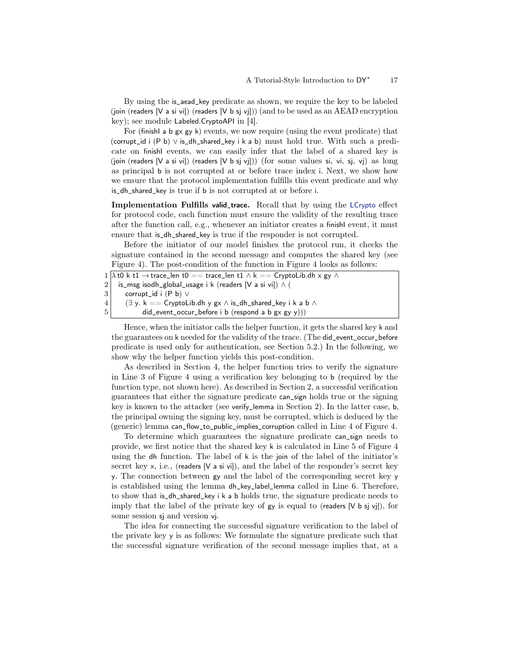By using the is\_aead\_key predicate as shown, we require the key to be labeled (join (readers  $[V \text{ a si vi}]$ ) (readers  $[V \text{ b si vi}]$ )) (and to be used as an AEAD encryption key); see module Labeled.CryptoAPI in [\[4\]](#page-18-8).

For (finishI a b gx gy k) events, we now require (using the event predicate) that (corrupt\_id i (P b) ∨ is\_dh\_shared\_key i k a b) must hold true. With such a predicate on finishI events, we can easily infer that the label of a shared key is (join (readers [V a si vi]) (readers [V b sj vj])) (for some values si, vi, sj, vj) as long as principal b is not corrupted at or before trace index i. Next, we show how we ensure that the protocol implementation fulfills this event predicate and why is\_dh\_shared\_key is true if b is not corrupted at or before i.

Implementation Fulfills valid\_trace. Recall that by using the LCrypto effect for protocol code, each function must ensure the validity of the resulting trace after the function call, e.g., whenever an initiator creates a finishI event, it must ensure that is\_dh\_shared\_key is true if the responder is not corrupted.

Before the initiator of our model finishes the protocol run, it checks the signature contained in the second message and computes the shared key (see Figure [4\)](#page-15-0). The post-condition of the function in Figure [4](#page-15-0) looks as follows:

```
1/\lambda t0 k t1 \rightarrow trace_len t0 == trace_len t1 \wedge k == CryptoLib.dh x gy \wedge2 is_msg isodh_global_usage i k (readers [V a si vi]) \wedge (
3 corrupt_id i (P b) ∨
4 (\exists y. k == CryptoLib.dh y gx \wedge is_dh_shared_key i k a b \wedge5 did_event_occur_before i b (respond a b gx gy y))
```
Hence, when the initiator calls the helper function, it gets the shared key k and the guarantees on k needed for the validity of the trace. (The did\_event\_occur\_before predicate is used only for authentication, see Section [5.2.](#page-17-0)) In the following, we show why the helper function yields this post-condition.

As described in Section [4,](#page-9-1) the helper function tries to verify the signature in Line [3](#page-15-2) of Figure [4](#page-15-0) using a verification key belonging to b (required by the function type, not shown here). As described in Section [2,](#page-3-0) a successful verification guarantees that either the signature predicate can\_sign holds true or the signing key is known to the attacker (see verify\_lemma in Section [2\)](#page-3-0). In the latter case, b, the principal owning the signing key, must be corrupted, which is deduced by the (generic) lemma can\_flow\_to\_public\_implies\_corruption called in Line [4](#page-15-6) of Figure [4.](#page-15-0)

To determine which guarantees the signature predicate can\_sign needs to provide, we first notice that the shared key k is calculated in Line [5](#page-15-3) of Figure [4](#page-15-0) using the dh function. The label of  $k$  is the join of the label of the initiator's secret key  $x$ , i.e., (readers [V a si vi]), and the label of the responder's secret key y. The connection between gy and the label of the corresponding secret key y is established using the lemma dh\_key\_label\_lemma called in Line [6.](#page-15-7) Therefore, to show that is\_dh\_shared\_key i k a b holds true, the signature predicate needs to imply that the label of the private key of gy is equal to (readers  $[V \mathbf{b} \mathbf{s}]$  vij), for some session sj and version vj.

The idea for connecting the successful signature verification to the label of the private key y is as follows: We formulate the signature predicate such that the successful signature verification of the second message implies that, at a

17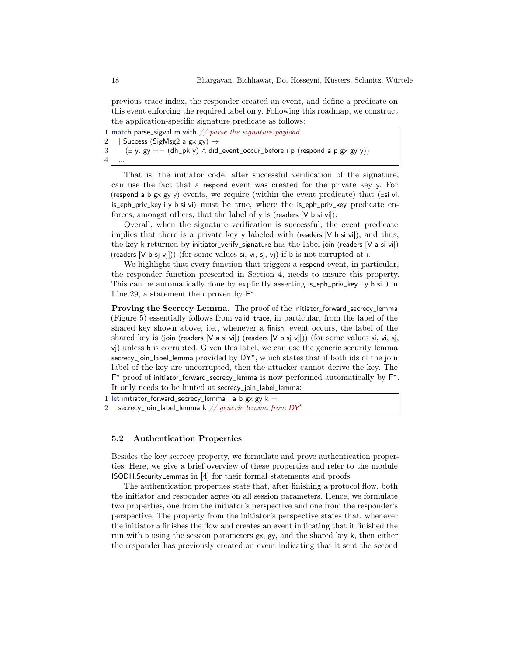previous trace index, the responder created an event, and define a predicate on this event enforcing the required label on y. Following this roadmap, we construct the application-specific signature predicate as follows:

1 match parse\_sigval m with  $//$  parse the signature payload

```
2 | Success (SigMsg2 a gx gy) \rightarrow
```
 $3$  ( $\exists$  y. gy == (dh\_pk y)  $\land$  did\_event\_occur\_before i p (respond a p gx gy y))

That is, the initiator code, after successful verification of the signature, can use the fact that a respond event was created for the private key y. For (respond a b gx gy y) events, we require (within the event predicate) that (∃si vi. is\_eph\_priv\_key i y b si vi) must be true, where the is\_eph\_priv\_key predicate en-

forces, amongst others, that the label of y is (readers [V b si vi]). Overall, when the signature verification is successful, the event predicate implies that there is a private key y labeled with (readers [V b si vi]), and thus, the key k returned by initiator\_verify\_signature has the label join (readers [V a si vi]) (readers  $[V b s j v j])$ ) (for some values si, vi, sj, vj) if b is not corrupted at i.

We highlight that every function that triggers a respond event, in particular, the responder function presented in Section [4,](#page-9-1) needs to ensure this property. This can be automatically done by explicitly asserting is\_eph\_priv\_key i y b si 0 in Line [29,](#page-14-18) a statement then proven by  $F^*$ .

Proving the Secrecy Lemma. The proof of the initiator\_forward\_secrecy\_lemma (Figure [5\)](#page-15-5) essentially follows from valid\_trace, in particular, from the label of the shared key shown above, i.e., whenever a finishI event occurs, the label of the shared key is (join (readers [V a si vi]) (readers [V b sj vj])) (for some values si, vi, sj, vj) unless b is corrupted. Given this label, we can use the generic security lemma  $\mathsf{secrecy\_join\_label\_lemma}$  provided by  $\mathsf{DY}^\star,$  which states that if both ids of the join label of the key are uncorrupted, then the attacker cannot derive the key. The  $F^*$  proof of initiator\_forward\_secrecy\_lemma is now performed automatically by  $F^*$ . It only needs to be hinted at secrecy\_join\_label\_lemma:

- 1 let initiator\_forward\_secrecy\_lemma i a b  $gx gy k =$
- 2 secrecy\_join\_label\_lemma k // generic lemma from  $DY^*$

#### <span id="page-17-0"></span>5.2 Authentication Properties

Besides the key secrecy property, we formulate and prove authentication properties. Here, we give a brief overview of these properties and refer to the module ISODH.SecurityLemmas in [\[4\]](#page-18-8) for their formal statements and proofs.

The authentication properties state that, after finishing a protocol flow, both the initiator and responder agree on all session parameters. Hence, we formulate two properties, one from the initiator's perspective and one from the responder's perspective. The property from the initiator's perspective states that, whenever the initiator a finishes the flow and creates an event indicating that it finished the run with b using the session parameters gx, gy, and the shared key k, then either the responder has previously created an event indicating that it sent the second

 $\overline{4}$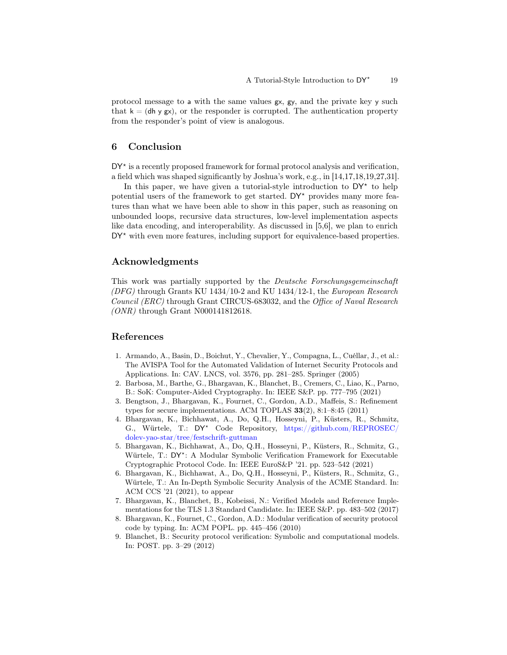protocol message to a with the same values gx, gy, and the private key y such that  $k = (dh y gx)$ , or the responder is corrupted. The authentication property from the responder's point of view is analogous.

# <span id="page-18-9"></span>6 Conclusion

 $DY*$  is a recently proposed framework for formal protocol analysis and verification, a field which was shaped significantly by Joshua's work, e.g., in [\[14,](#page-19-8)[17](#page-19-7)[,18,](#page-19-5)[19](#page-19-6)[,27](#page-19-9)[,31\]](#page-19-4).

In this paper, we have given a tutorial-style introduction to  $DY^*$  to help potential users of the framework to get started.  $DY^*$  provides many more features than what we have been able to show in this paper, such as reasoning on unbounded loops, recursive data structures, low-level implementation aspects like data encoding, and interoperability. As discussed in [\[5,](#page-18-6)[6\]](#page-18-7), we plan to enrich  $DY^*$  with even more features, including support for equivalence-based properties.

### Acknowledgments

This work was partially supported by the Deutsche Forschungsgemeinschaft  $(DFG)$  through Grants KU 1434/10-2 and KU 1434/12-1, the European Research Council (ERC) through Grant CIRCUS-683032, and the Office of Naval Research (ONR) through Grant N000141812618.

## References

- <span id="page-18-3"></span>1. Armando, A., Basin, D., Boichut, Y., Chevalier, Y., Compagna, L., Cuéllar, J., et al.: The AVISPA Tool for the Automated Validation of Internet Security Protocols and Applications. In: CAV. LNCS, vol. 3576, pp. 281–285. Springer (2005)
- <span id="page-18-0"></span>2. Barbosa, M., Barthe, G., Bhargavan, K., Blanchet, B., Cremers, C., Liao, K., Parno, B.: SoK: Computer-Aided Cryptography. In: IEEE S&P. pp. 777–795 (2021)
- <span id="page-18-4"></span>3. Bengtson, J., Bhargavan, K., Fournet, C., Gordon, A.D., Maffeis, S.: Refinement types for secure implementations. ACM TOPLAS 33(2), 8:1–8:45 (2011)
- <span id="page-18-8"></span>4. Bhargavan, K., Bichhawat, A., Do, Q.H., Hosseyni, P., Küsters, R., Schmitz, G., Würtele, T.: DY? Code Repository, [https://github.com/REPROSEC/](https://github.com/REPROSEC/dolev-yao-star/tree/festschrift-guttman) [dolev-yao-star/tree/festschrift-guttman](https://github.com/REPROSEC/dolev-yao-star/tree/festschrift-guttman)
- <span id="page-18-6"></span>5. Bhargavan, K., Bichhawat, A., Do, Q.H., Hosseyni, P., Küsters, R., Schmitz, G., Würtele, T.: DY\*: A Modular Symbolic Verification Framework for Executable Cryptographic Protocol Code. In: IEEE EuroS&P '21. pp. 523–542 (2021)
- <span id="page-18-7"></span>6. Bhargavan, K., Bichhawat, A., Do, Q.H., Hosseyni, P., Küsters, R., Schmitz, G., Würtele, T.: An In-Depth Symbolic Security Analysis of the ACME Standard. In: ACM CCS '21 (2021), to appear
- <span id="page-18-2"></span>7. Bhargavan, K., Blanchet, B., Kobeissi, N.: Verified Models and Reference Implementations for the TLS 1.3 Standard Candidate. In: IEEE S&P. pp. 483–502 (2017)
- <span id="page-18-5"></span>8. Bhargavan, K., Fournet, C., Gordon, A.D.: Modular verification of security protocol code by typing. In: ACM POPL. pp. 445–456 (2010)
- <span id="page-18-1"></span>9. Blanchet, B.: Security protocol verification: Symbolic and computational models. In: POST. pp. 3–29 (2012)